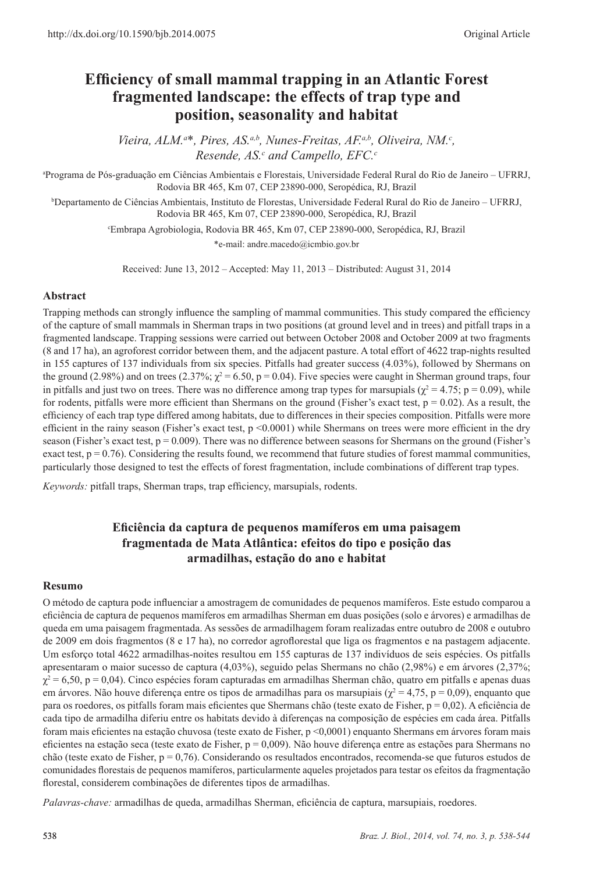# **Efficiency of small mammal trapping in an Atlantic Forest fragmented landscape: the effects of trap type and position, seasonality and habitat**

*Vieira, ALM.<sup>a\*</sup>, Pires, AS.<sup>a,b</sup>, Nunes-Freitas, AF.<sup>a,b</sup>, Oliveira, NM.<sup>c</sup>, Resende, AS.<sup>c</sup> and Campello, EFC.<sup>c</sup>* 

a Programa de Pós-graduação em Ciências Ambientais e Florestais, Universidade Federal Rural do Rio de Janeiro – UFRRJ, Rodovia BR 465, Km 07, CEP 23890-000, Seropédica, RJ, Brazil

b Departamento de Ciências Ambientais, Instituto de Florestas, Universidade Federal Rural do Rio de Janeiro – UFRRJ, Rodovia BR 465, Km 07, CEP 23890-000, Seropédica, RJ, Brazil

c Embrapa Agrobiologia, Rodovia BR 465, Km 07, CEP 23890-000, Seropédica, RJ, Brazil

\*e-mail: andre.macedo@icmbio.gov.br

Received: June 13, 2012 – Accepted: May 11, 2013 – Distributed: August 31, 2014

### **Abstract**

Trapping methods can strongly influence the sampling of mammal communities. This study compared the efficiency of the capture of small mammals in Sherman traps in two positions (at ground level and in trees) and pitfall traps in a fragmented landscape. Trapping sessions were carried out between October 2008 and October 2009 at two fragments (8 and 17 ha), an agroforest corridor between them, and the adjacent pasture. A total effort of 4622 trap-nights resulted in 155 captures of 137 individuals from six species. Pitfalls had greater success (4.03%), followed by Shermans on the ground (2.98%) and on trees (2.37%;  $\chi^2$  = 6.50, p = 0.04). Five species were caught in Sherman ground traps, four in pitfalls and just two on trees. There was no difference among trap types for marsupials ( $\chi^2$  = 4.75; p = 0.09), while for rodents, pitfalls were more efficient than Shermans on the ground (Fisher's exact test,  $p = 0.02$ ). As a result, the efficiency of each trap type differed among habitats, due to differences in their species composition. Pitfalls were more efficient in the rainy season (Fisher's exact test, p <0.0001) while Shermans on trees were more efficient in the dry season (Fisher's exact test,  $p = 0.009$ ). There was no difference between seasons for Shermans on the ground (Fisher's exact test,  $p = 0.76$ ). Considering the results found, we recommend that future studies of forest mammal communities, particularly those designed to test the effects of forest fragmentation, include combinations of different trap types.

*Keywords:* pitfall traps, Sherman traps, trap efficiency, marsupials, rodents.

# **Eficiência da captura de pequenos mamíferos em uma paisagem fragmentada de Mata Atlântica: efeitos do tipo e posição das armadilhas, estação do ano e habitat**

#### **Resumo**

O método de captura pode influenciar a amostragem de comunidades de pequenos mamíferos. Este estudo comparou a eficiência de captura de pequenos mamíferos em armadilhas Sherman em duas posições (solo e árvores) e armadilhas de queda em uma paisagem fragmentada. As sessões de armadilhagem foram realizadas entre outubro de 2008 e outubro de 2009 em dois fragmentos (8 e 17 ha), no corredor agroflorestal que liga os fragmentos e na pastagem adjacente. Um esforço total 4622 armadilhas-noites resultou em 155 capturas de 137 indivíduos de seis espécies. Os pitfalls apresentaram o maior sucesso de captura (4,03%), seguido pelas Shermans no chão (2,98%) e em árvores (2,37%;  $\chi^2$  = 6,50, p = 0,04). Cinco espécies foram capturadas em armadilhas Sherman chão, quatro em pitfalls e apenas duas em árvores. Não houve diferença entre os tipos de armadilhas para os marsupiais ( $\chi^2 = 4.75$ , p = 0,09), enquanto que para os roedores, os pitfalls foram mais eficientes que Shermans chão (teste exato de Fisher, p = 0,02). A eficiência de cada tipo de armadilha diferiu entre os habitats devido à diferenças na composição de espécies em cada área. Pitfalls foram mais eficientes na estação chuvosa (teste exato de Fisher, p <0,0001) enquanto Shermans em árvores foram mais eficientes na estação seca (teste exato de Fisher,  $p = 0.009$ ). Não houve diferença entre as estações para Shermans no chão (teste exato de Fisher, p = 0,76). Considerando os resultados encontrados, recomenda-se que futuros estudos de comunidades florestais de pequenos mamíferos, particularmente aqueles projetados para testar os efeitos da fragmentação florestal, considerem combinações de diferentes tipos de armadilhas.

*Palavras-chave:* armadilhas de queda, armadilhas Sherman, eficiência de captura, marsupiais, roedores.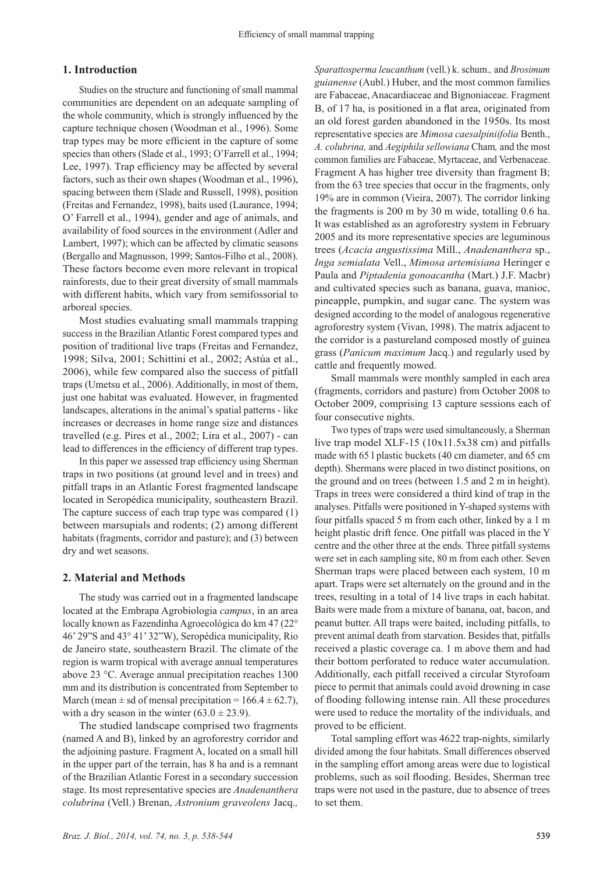#### **1. Introduction**

Studies on the structure and functioning of small mammal communities are dependent on an adequate sampling of the whole community, which is strongly influenced by the capture technique chosen (Woodman et al., 1996). Some trap types may be more efficient in the capture of some species than others (Slade et al., 1993; O'Farrell et al., 1994; Lee, 1997). Trap efficiency may be affected by several factors, such as their own shapes (Woodman et al., 1996), spacing between them (Slade and Russell, 1998), position (Freitas and Fernandez, 1998), baits used (Laurance, 1994; O' Farrell et al., 1994), gender and age of animals, and availability of food sources in the environment (Adler and Lambert, 1997); which can be affected by climatic seasons (Bergallo and Magnusson, 1999; Santos-Filho et al., 2008). These factors become even more relevant in tropical rainforests, due to their great diversity of small mammals with different habits, which vary from semifossorial to arboreal species.

Most studies evaluating small mammals trapping success in the Brazilian Atlantic Forest compared types and position of traditional live traps (Freitas and Fernandez, 1998; Silva, 2001; Schittini et al., 2002; Astúa et al., 2006), while few compared also the success of pitfall traps (Umetsu et al., 2006). Additionally, in most of them, just one habitat was evaluated. However, in fragmented landscapes, alterations in the animal's spatial patterns - like increases or decreases in home range size and distances travelled (e.g. Pires et al., 2002; Lira et al., 2007) - can lead to differences in the efficiency of different trap types.

In this paper we assessed trap efficiency using Sherman traps in two positions (at ground level and in trees) and pitfall traps in an Atlantic Forest fragmented landscape located in Seropédica municipality, southeastern Brazil. The capture success of each trap type was compared (1) between marsupials and rodents; (2) among different habitats (fragments, corridor and pasture); and (3) between dry and wet seasons.

#### **2. Material and Methods**

The study was carried out in a fragmented landscape located at the Embrapa Agrobiologia *campus*, in an area locally known as Fazendinha Agroecológica do km 47 (22° 46' 29"S and 43° 41' 32"W), Seropédica municipality, Rio de Janeiro state, southeastern Brazil. The climate of the region is warm tropical with average annual temperatures above 23 °C. Average annual precipitation reaches 1300 mm and its distribution is concentrated from September to March (mean  $\pm$  sd of mensal precipitation = 166.4  $\pm$  62.7). with a dry season in the winter  $(63.0 \pm 23.9)$ .

The studied landscape comprised two fragments (named A and B), linked by an agroforestry corridor and the adjoining pasture. Fragment A, located on a small hill in the upper part of the terrain, has 8 ha and is a remnant of the Brazilian Atlantic Forest in a secondary succession stage. Its most representative species are *Anadenanthera colubrina* (Vell.) Brenan, *Astronium graveolens* Jacq.*,* 

*Sparattosperma leucanthum* (vell.) k. schum.*,* and *Brosimum guianense* (Aubl.) Huber, and the most common families are Fabaceae, Anacardiaceae and Bignoniaceae. Fragment B, of 17 ha, is positioned in a flat area, originated from an old forest garden abandoned in the 1950s. Its most representative species are *Mimosa caesalpiniifolia* Benth., *A. colubrina,* and *Aegiphila sellowiana* Cham*,* and the most common families are Fabaceae, Myrtaceae, and Verbenaceae. Fragment A has higher tree diversity than fragment B; from the 63 tree species that occur in the fragments, only 19% are in common (Vieira, 2007). The corridor linking the fragments is 200 m by 30 m wide, totalling 0.6 ha. It was established as an agroforestry system in February 2005 and its more representative species are leguminous trees (*Acacia angustissima* Mill., *Anadenanthera* sp., *Inga semialata* Vell., *Mimosa artemisiana* Heringer e Paula and *Piptadenia gonoacantha* (Mart.) J.F. Macbr) and cultivated species such as banana, guava, manioc, pineapple, pumpkin, and sugar cane. The system was designed according to the model of analogous regenerative agroforestry system (Vivan, 1998). The matrix adjacent to the corridor is a pastureland composed mostly of guinea grass (*Panicum maximum* Jacq.) and regularly used by cattle and frequently mowed.

Small mammals were monthly sampled in each area (fragments, corridors and pasture) from October 2008 to October 2009, comprising 13 capture sessions each of four consecutive nights.

Two types of traps were used simultaneously, a Sherman live trap model XLF-15 (10x11.5x38 cm) and pitfalls made with 65 l plastic buckets (40 cm diameter, and 65 cm depth). Shermans were placed in two distinct positions, on the ground and on trees (between 1.5 and 2 m in height). Traps in trees were considered a third kind of trap in the analyses. Pitfalls were positioned in Y-shaped systems with four pitfalls spaced 5 m from each other, linked by a 1 m height plastic drift fence. One pitfall was placed in the Y centre and the other three at the ends. Three pitfall systems were set in each sampling site, 80 m from each other. Seven Sherman traps were placed between each system, 10 m apart. Traps were set alternately on the ground and in the trees, resulting in a total of 14 live traps in each habitat. Baits were made from a mixture of banana, oat, bacon, and peanut butter. All traps were baited, including pitfalls, to prevent animal death from starvation. Besides that, pitfalls received a plastic coverage ca. 1 m above them and had their bottom perforated to reduce water accumulation. Additionally, each pitfall received a circular Styrofoam piece to permit that animals could avoid drowning in case of flooding following intense rain. All these procedures were used to reduce the mortality of the individuals, and proved to be efficient.

Total sampling effort was 4622 trap-nights, similarly divided among the four habitats. Small differences observed in the sampling effort among areas were due to logistical problems, such as soil flooding. Besides, Sherman tree traps were not used in the pasture, due to absence of trees to set them.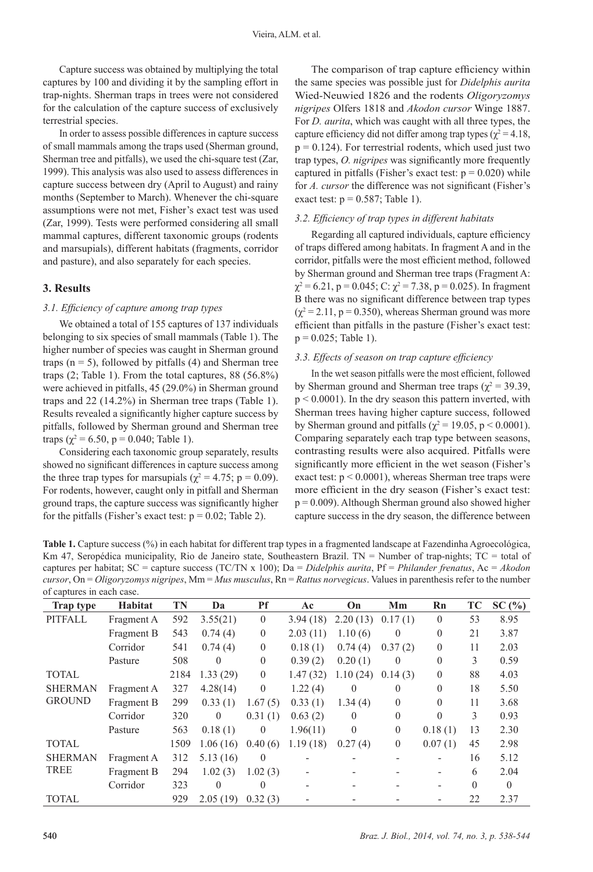Capture success was obtained by multiplying the total captures by 100 and dividing it by the sampling effort in trap-nights. Sherman traps in trees were not considered for the calculation of the capture success of exclusively terrestrial species.

In order to assess possible differences in capture success of small mammals among the traps used (Sherman ground, Sherman tree and pitfalls), we used the chi-square test (Zar, 1999). This analysis was also used to assess differences in capture success between dry (April to August) and rainy months (September to March). Whenever the chi-square assumptions were not met, Fisher's exact test was used (Zar, 1999). Tests were performed considering all small mammal captures, different taxonomic groups (rodents and marsupials), different habitats (fragments, corridor and pasture), and also separately for each species.

## **3. Results**

#### *3.1. Efficiency of capture among trap types*

We obtained a total of 155 captures of 137 individuals belonging to six species of small mammals (Table 1). The higher number of species was caught in Sherman ground traps  $(n = 5)$ , followed by pitfalls (4) and Sherman tree traps  $(2;$  Table 1). From the total captures,  $88 (56.8\%)$ were achieved in pitfalls, 45 (29.0%) in Sherman ground traps and 22 (14.2%) in Sherman tree traps (Table 1). Results revealed a significantly higher capture success by pitfalls, followed by Sherman ground and Sherman tree traps ( $\gamma^2$  = 6.50, p = 0.040; Table 1).

Considering each taxonomic group separately, results showed no significant differences in capture success among the three trap types for marsupials ( $\chi^2$  = 4.75; p = 0.09). For rodents, however, caught only in pitfall and Sherman ground traps, the capture success was significantly higher for the pitfalls (Fisher's exact test:  $p = 0.02$ ; Table 2).

The comparison of trap capture efficiency within the same species was possible just for *Didelphis aurita* Wied-Neuwied 1826 and the rodents *Oligoryzomys nigripes* Olfers 1818 and *Akodon cursor* Winge 1887. For *D. aurita*, which was caught with all three types, the capture efficiency did not differ among trap types ( $\chi^2$  = 4.18,  $p = 0.124$ ). For terrestrial rodents, which used just two trap types, *O. nigripes* was significantly more frequently captured in pitfalls (Fisher's exact test:  $p = 0.020$ ) while for *A. cursor* the difference was not significant (Fisher's exact test:  $p = 0.587$ ; Table 1).

#### *3.2. Efficiency of trap types in different habitats*

Regarding all captured individuals, capture efficiency of traps differed among habitats. In fragment A and in the corridor, pitfalls were the most efficient method, followed by Sherman ground and Sherman tree traps (Fragment A:  $\chi^2$  = 6.21, p = 0.045; C:  $\chi^2$  = 7.38, p = 0.025). In fragment B there was no significant difference between trap types  $(\chi^2 = 2.11, p = 0.350)$ , whereas Sherman ground was more efficient than pitfalls in the pasture (Fisher's exact test:  $p = 0.025$ ; Table 1).

#### *3.3. Effects of season on trap capture efficiency*

In the wet season pitfalls were the most efficient, followed by Sherman ground and Sherman tree traps ( $\chi^2$  = 39.39, p < 0.0001). In the dry season this pattern inverted, with Sherman trees having higher capture success, followed by Sherman ground and pitfalls ( $\chi^2$  = 19.05, p < 0.0001). Comparing separately each trap type between seasons, contrasting results were also acquired. Pitfalls were significantly more efficient in the wet season (Fisher's exact test: p < 0.0001), whereas Sherman tree traps were more efficient in the dry season (Fisher's exact test:  $p = 0.009$ ). Although Sherman ground also showed higher capture success in the dry season, the difference between

**Table 1.** Capture success (%) in each habitat for different trap types in a fragmented landscape at Fazendinha Agroecológica, Km 47, Seropédica municipality, Rio de Janeiro state, Southeastern Brazil. TN = Number of trap-nights; TC = total of captures per habitat; SC = capture success (TC/TN x 100); Da = *Didelphis aurita*, Pf = *Philander frenatus*, Ac = *Akodon cursor*, On = *Oligoryzomys nigripes*, Mm = *Mus musculus*, Rn = *Rattus norvegicus*. Values in parenthesis refer to the number of captures in each case.

| <b>Trap type</b> | Habitat    | TN   | Da       | <b>Pf</b>    | Ac                       | On             | Mm           | Rn       | TC       | SC(%)    |
|------------------|------------|------|----------|--------------|--------------------------|----------------|--------------|----------|----------|----------|
| PITFALL          | Fragment A | 592  | 3.55(21) | $\theta$     | 3.94(18)                 | 2.20(13)       | 0.17(1)      | $\theta$ | 53       | 8.95     |
|                  | Fragment B | 543  | 0.74(4)  | $\theta$     | 2.03(11)                 | 1.10(6)        | $\theta$     | $\Omega$ | 21       | 3.87     |
|                  | Corridor   | 541  | 0.74(4)  | $\theta$     | 0.18(1)                  | 0.74(4)        | 0.37(2)      | $\theta$ | 11       | 2.03     |
|                  | Pasture    | 508  | $\theta$ | $\theta$     | 0.39(2)                  | 0.20(1)        | $\theta$     | $\theta$ | 3        | 0.59     |
| <b>TOTAL</b>     |            | 2184 | 1.33(29) | $\theta$     | 1.47(32)                 | 1.10(24)       | 0.14(3)      | $\Omega$ | 88       | 4.03     |
| <b>SHERMAN</b>   | Fragment A | 327  | 4.28(14) | $\mathbf{0}$ | 1.22(4)                  | $\theta$       | $\Omega$     | $\Omega$ | 18       | 5.50     |
| <b>GROUND</b>    | Fragment B | 299  | 0.33(1)  | 1.67(5)      | 0.33(1)                  | 1.34(4)        | $\theta$     | $\Omega$ | 11       | 3.68     |
|                  | Corridor   | 320  | $\theta$ | 0.31(1)      | 0.63(2)                  | $\theta$       | $\theta$     | $\Omega$ | 3        | 0.93     |
|                  | Pasture    | 563  | 0.18(1)  | $\theta$     | 1.96(11)                 | $\overline{0}$ | $\theta$     | 0.18(1)  | 13       | 2.30     |
| <b>TOTAL</b>     |            | 1509 | 1.06(16) | 0.40(6)      | 1.19(18)                 | 0.27(4)        | $\mathbf{0}$ | 0.07(1)  | 45       | 2.98     |
| <b>SHERMAN</b>   | Fragment A | 312  | 5.13(16) | $\theta$     |                          |                |              |          | 16       | 5.12     |
| <b>TREE</b>      | Fragment B | 294  | 1.02(3)  | 1.02(3)      | $\overline{a}$           |                |              |          | 6        | 2.04     |
|                  | Corridor   | 323  | $\theta$ | $\theta$     | $\overline{\phantom{0}}$ |                |              |          | $\theta$ | $\theta$ |
| <b>TOTAL</b>     |            | 929  | 2.05(19) | 0.32(3)      |                          |                |              |          | 22       | 2.37     |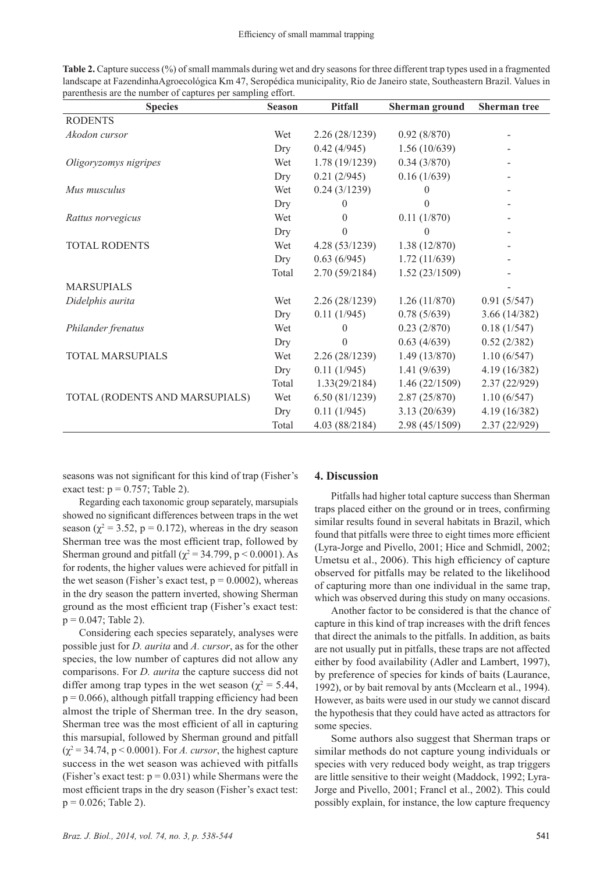| <b>Table 2.</b> Capture success (%) of small mammals during wet and dry seasons for three different trap types used in a fragmented |  |
|-------------------------------------------------------------------------------------------------------------------------------------|--|
| landscape at FazendinhaAgroecológica Km 47, Seropédica municipality, Rio de Janeiro state, Southeastern Brazil. Values in           |  |
| parenthesis are the number of captures per sampling effort.                                                                         |  |

| <b>Species</b>                 | <b>Season</b> | <b>Pitfall</b> | <b>Sherman ground</b> | <b>Sherman</b> tree |
|--------------------------------|---------------|----------------|-----------------------|---------------------|
| <b>RODENTS</b>                 |               |                |                       |                     |
| Akodon cursor                  | Wet           | 2.26(28/1239)  | 0.92(8/870)           |                     |
|                                | Dry           | 0.42(4/945)    | 1.56(10/639)          |                     |
| Oligoryzomys nigripes          | Wet           | 1.78(19/1239)  | 0.34(3/870)           |                     |
|                                | Dry           | 0.21(2/945)    | 0.16(1/639)           |                     |
| Mus musculus                   | Wet           | 0.24(3/1239)   | 0                     |                     |
|                                | Dry           | $\Omega$       | 0                     |                     |
| Rattus norvegicus              | Wet           | $\theta$       | 0.11(1/870)           |                     |
|                                | Dry           | $\Omega$       | 0                     |                     |
| <b>TOTAL RODENTS</b>           | Wet           | 4.28(53/1239)  | 1.38(12/870)          |                     |
|                                | Dry           | 0.63(6/945)    | 1.72(11/639)          |                     |
|                                | Total         | 2.70 (59/2184) | 1.52(23/1509)         |                     |
| <b>MARSUPIALS</b>              |               |                |                       |                     |
| Didelphis aurita               | Wet           | 2.26(28/1239)  | 1.26(11/870)          | 0.91(5/547)         |
|                                | Dry           | 0.11(1/945)    | 0.78(5/639)           | 3.66(14/382)        |
| Philander frenatus             | Wet           | $\Omega$       | 0.23(2/870)           | 0.18(1/547)         |
|                                | Dry           | $\theta$       | 0.63(4/639)           | 0.52(2/382)         |
| TOTAL MARSUPIALS               | Wet           | 2.26(28/1239)  | 1.49(13/870)          | 1.10(6/547)         |
|                                | Dry           | 0.11(1/945)    | 1.41(9/639)           | 4.19 (16/382)       |
|                                | Total         | 1.33(29/2184)  | 1.46(22/1509)         | 2.37(22/929)        |
| TOTAL (RODENTS AND MARSUPIALS) | Wet           | 6.50(81/1239)  | 2.87(25/870)          | 1.10(6/547)         |
|                                | Dry           | 0.11(1/945)    | 3.13(20/639)          | 4.19 (16/382)       |
|                                | Total         | 4.03 (88/2184) | 2.98 (45/1509)        | 2.37(22/929)        |

seasons was not significant for this kind of trap (Fisher's exact test:  $p = 0.757$ ; Table 2).

Regarding each taxonomic group separately, marsupials showed no significant differences between traps in the wet season ( $\chi^2$  = 3.52, p = 0.172), whereas in the dry season Sherman tree was the most efficient trap, followed by Sherman ground and pitfall ( $\chi^2$  = 34.799, p < 0.0001). As for rodents, the higher values were achieved for pitfall in the wet season (Fisher's exact test,  $p = 0.0002$ ), whereas in the dry season the pattern inverted, showing Sherman ground as the most efficient trap (Fisher's exact test:  $p = 0.047$ ; Table 2).

Considering each species separately, analyses were possible just for *D. aurita* and *A. cursor*, as for the other species, the low number of captures did not allow any comparisons. For *D. aurita* the capture success did not differ among trap types in the wet season ( $\chi^2$  = 5.44,  $p = 0.066$ ), although pitfall trapping efficiency had been almost the triple of Sherman tree. In the dry season, Sherman tree was the most efficient of all in capturing this marsupial, followed by Sherman ground and pitfall  $(\chi^2 = 34.74, p \le 0.0001)$ . For *A. cursor*, the highest capture success in the wet season was achieved with pitfalls (Fisher's exact test:  $p = 0.031$ ) while Shermans were the most efficient traps in the dry season (Fisher's exact test:  $p = 0.026$ ; Table 2).

#### **4. Discussion**

Pitfalls had higher total capture success than Sherman traps placed either on the ground or in trees, confirming similar results found in several habitats in Brazil, which found that pitfalls were three to eight times more efficient (Lyra-Jorge and Pivello, 2001; Hice and Schmidl, 2002; Umetsu et al., 2006). This high efficiency of capture observed for pitfalls may be related to the likelihood of capturing more than one individual in the same trap, which was observed during this study on many occasions.

Another factor to be considered is that the chance of capture in this kind of trap increases with the drift fences that direct the animals to the pitfalls. In addition, as baits are not usually put in pitfalls, these traps are not affected either by food availability (Adler and Lambert, 1997), by preference of species for kinds of baits (Laurance, 1992), or by bait removal by ants (Mcclearn et al., 1994). However, as baits were used in our study we cannot discard the hypothesis that they could have acted as attractors for some species.

Some authors also suggest that Sherman traps or similar methods do not capture young individuals or species with very reduced body weight, as trap triggers are little sensitive to their weight (Maddock, 1992; Lyra-Jorge and Pivello, 2001; Francl et al., 2002). This could possibly explain, for instance, the low capture frequency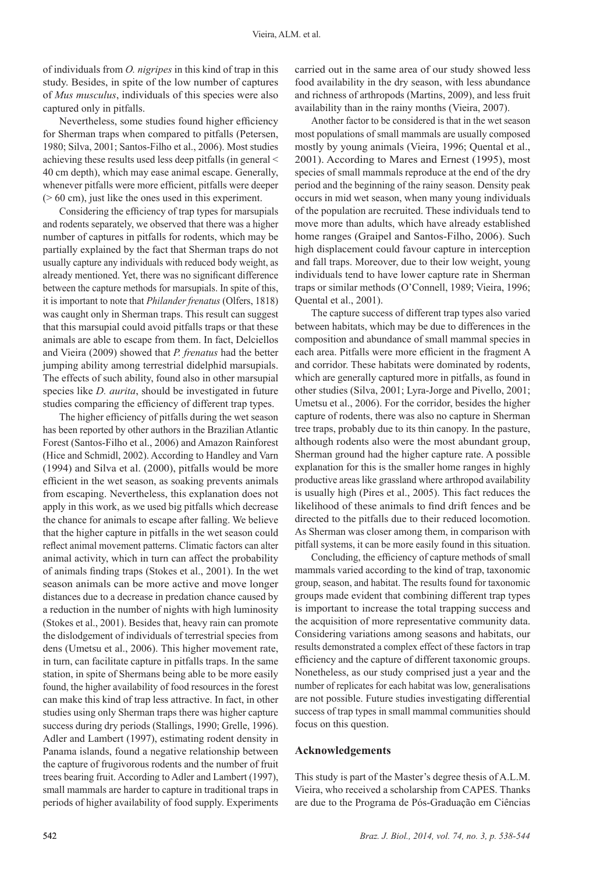of individuals from *O. nigripes* in this kind of trap in this study. Besides, in spite of the low number of captures of *Mus musculus*, individuals of this species were also captured only in pitfalls.

Nevertheless, some studies found higher efficiency for Sherman traps when compared to pitfalls (Petersen, 1980; Silva, 2001; Santos-Filho et al., 2006). Most studies achieving these results used less deep pitfalls (in general < 40 cm depth), which may ease animal escape. Generally, whenever pitfalls were more efficient, pitfalls were deeper  $(0.60 \text{ cm})$ , just like the ones used in this experiment.

Considering the efficiency of trap types for marsupials and rodents separately, we observed that there was a higher number of captures in pitfalls for rodents, which may be partially explained by the fact that Sherman traps do not usually capture any individuals with reduced body weight, as already mentioned. Yet, there was no significant difference between the capture methods for marsupials. In spite of this, it is important to note that *Philander frenatus* (Olfers, 1818) was caught only in Sherman traps. This result can suggest that this marsupial could avoid pitfalls traps or that these animals are able to escape from them. In fact, Delciellos and Vieira (2009) showed that *P. frenatus* had the better jumping ability among terrestrial didelphid marsupials. The effects of such ability, found also in other marsupial species like *D. aurita*, should be investigated in future studies comparing the efficiency of different trap types.

The higher efficiency of pitfalls during the wet season has been reported by other authors in the Brazilian Atlantic Forest (Santos-Filho et al., 2006) and Amazon Rainforest (Hice and Schmidl, 2002). According to Handley and Varn (1994) and Silva et al. (2000), pitfalls would be more efficient in the wet season, as soaking prevents animals from escaping. Nevertheless, this explanation does not apply in this work, as we used big pitfalls which decrease the chance for animals to escape after falling. We believe that the higher capture in pitfalls in the wet season could reflect animal movement patterns. Climatic factors can alter animal activity, which in turn can affect the probability of animals finding traps (Stokes et al., 2001). In the wet season animals can be more active and move longer distances due to a decrease in predation chance caused by a reduction in the number of nights with high luminosity (Stokes et al., 2001). Besides that, heavy rain can promote the dislodgement of individuals of terrestrial species from dens (Umetsu et al., 2006). This higher movement rate, in turn, can facilitate capture in pitfalls traps. In the same station, in spite of Shermans being able to be more easily found, the higher availability of food resources in the forest can make this kind of trap less attractive. In fact, in other studies using only Sherman traps there was higher capture success during dry periods (Stallings, 1990; Grelle, 1996). Adler and Lambert (1997), estimating rodent density in Panama islands, found a negative relationship between the capture of frugivorous rodents and the number of fruit trees bearing fruit. According to Adler and Lambert (1997), small mammals are harder to capture in traditional traps in periods of higher availability of food supply. Experiments carried out in the same area of our study showed less food availability in the dry season, with less abundance and richness of arthropods (Martins, 2009), and less fruit availability than in the rainy months (Vieira, 2007).

Another factor to be considered is that in the wet season most populations of small mammals are usually composed mostly by young animals (Vieira, 1996; Quental et al., 2001). According to Mares and Ernest (1995), most species of small mammals reproduce at the end of the dry period and the beginning of the rainy season. Density peak occurs in mid wet season, when many young individuals of the population are recruited. These individuals tend to move more than adults, which have already established home ranges (Graipel and Santos-Filho, 2006). Such high displacement could favour capture in interception and fall traps. Moreover, due to their low weight, young individuals tend to have lower capture rate in Sherman traps or similar methods (O'Connell, 1989; Vieira, 1996; Quental et al., 2001).

The capture success of different trap types also varied between habitats, which may be due to differences in the composition and abundance of small mammal species in each area. Pitfalls were more efficient in the fragment A and corridor. These habitats were dominated by rodents, which are generally captured more in pitfalls, as found in other studies (Silva, 2001; Lyra-Jorge and Pivello, 2001; Umetsu et al., 2006). For the corridor, besides the higher capture of rodents, there was also no capture in Sherman tree traps, probably due to its thin canopy. In the pasture, although rodents also were the most abundant group, Sherman ground had the higher capture rate. A possible explanation for this is the smaller home ranges in highly productive areas like grassland where arthropod availability is usually high (Pires et al., 2005). This fact reduces the likelihood of these animals to find drift fences and be directed to the pitfalls due to their reduced locomotion. As Sherman was closer among them, in comparison with pitfall systems, it can be more easily found in this situation.

Concluding, the efficiency of capture methods of small mammals varied according to the kind of trap, taxonomic group, season, and habitat. The results found for taxonomic groups made evident that combining different trap types is important to increase the total trapping success and the acquisition of more representative community data. Considering variations among seasons and habitats, our results demonstrated a complex effect of these factors in trap efficiency and the capture of different taxonomic groups. Nonetheless, as our study comprised just a year and the number of replicates for each habitat was low, generalisations are not possible. Future studies investigating differential success of trap types in small mammal communities should focus on this question.

#### **Acknowledgements**

This study is part of the Master's degree thesis of A.L.M. Vieira, who received a scholarship from CAPES. Thanks are due to the Programa de Pós-Graduação em Ciências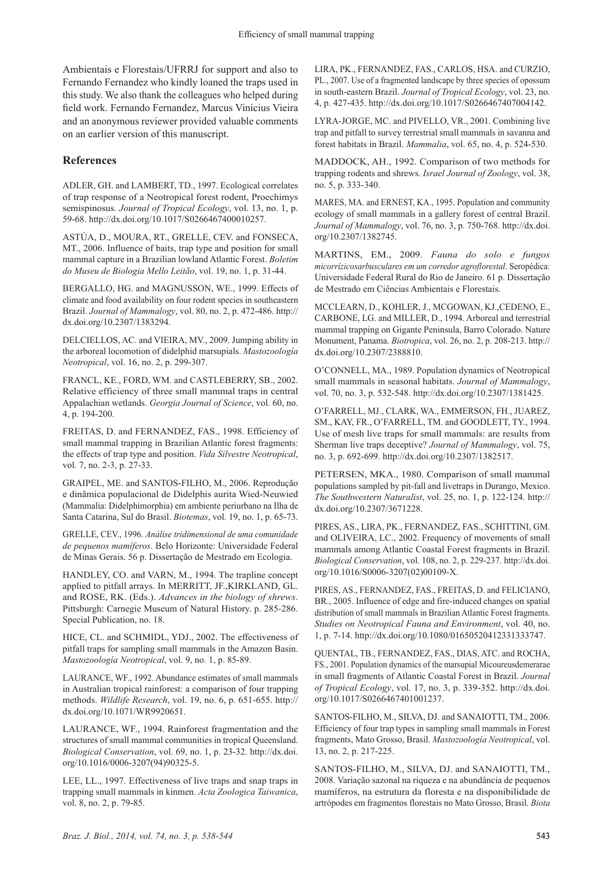Ambientais e Florestais/UFRRJ for support and also to Fernando Fernandez who kindly loaned the traps used in this study. We also thank the colleagues who helped during field work. Fernando Fernandez, Marcus Vinícius Vieira and an anonymous reviewer provided valuable comments on an earlier version of this manuscript.

#### **References**

ADLER, GH. and LAMBERT, TD., 1997. Ecological correlates of trap response of a Neotropical forest rodent, Proechimys semispinosus. *Journal of Tropical Ecology*, vol. 13, no. 1, p. 59-68. http://dx.doi.org/10.1017/S0266467400010257.

ASTÚA, D., MOURA, RT., GRELLE, CEV. and FONSECA, MT., 2006. Influence of baits, trap type and position for small mammal capture in a Brazilian lowland Atlantic Forest. *Boletim do Museu de Biologia Mello Leitão*, vol. 19, no. 1, p. 31-44.

BERGALLO, HG. and MAGNUSSON, WE., 1999. Effects of climate and food availability on four rodent species in southeastern Brazil. *Journal of Mammalogy*, vol. 80, no. 2, p. 472-486. http:// dx.doi.org/10.2307/1383294.

DELCIELLOS, AC. and VIEIRA, MV., 2009. Jumping ability in the arboreal locomotion of didelphid marsupials. *Mastozoología Neotropical*, vol. 16, no. 2, p. 299-307.

FRANCL, KE., FORD, WM. and CASTLEBERRY, SB., 2002. Relative efficiency of three small mammal traps in central Appalachian wetlands. *Georgia Journal of Science*, vol. 60, no. 4, p. 194-200.

FREITAS, D. and FERNANDEZ, FAS., 1998. Efficiency of small mammal trapping in Brazilian Atlantic forest fragments: the effects of trap type and position. *Vida Silvestre Neotropical*, vol. 7, no. 2-3, p. 27-33.

GRAIPEL, ME. and SANTOS-FILHO, M., 2006. Reprodução e dinâmica populacional de Didelphis aurita Wied-Neuwied (Mammalia: Didelphimorphia) em ambiente periurbano na Ilha de Santa Catarina, Sul do Brasil. *Biotemas*, vol. 19, no. 1, p. 65-73.

GRELLE, CEV., 1996. *Análise tridimensional de uma comunidade de pequenos mamíferos*. Belo Horizonte: Universidade Federal de Minas Gerais. 56 p. Dissertação de Mestrado em Ecologia.

HANDLEY, CO. and VARN, M., 1994. The trapline concept applied to pitfall arrays. In MERRITT, JF.,KIRKLAND, GL. and ROSE, RK. (Eds.). *Advances in the biology of shrews*. Pittsburgh: Carnegie Museum of Natural History. p. 285-286. Special Publication, no. 18.

HICE, CL. and SCHMIDL, YDJ., 2002. The effectiveness of pitfall traps for sampling small mammals in the Amazon Basin. *Mastozoología Neotropical*, vol. 9, no. 1, p. 85-89.

LAURANCE, WF., 1992. Abundance estimates of small mammals in Australian tropical rainforest: a comparison of four trapping methods. *Wildlife Research*, vol. 19, no. 6, p. 651-655. http:// dx.doi.org/10.1071/WR9920651.

LAURANCE, WF., 1994. Rainforest fragmentation and the structures of small mammal communities in tropical Queensland. *Biological Conservation*, vol. 69, no. 1, p. 23-32. http://dx.doi. org/10.1016/0006-3207(94)90325-5.

LEE, LL., 1997. Effectiveness of live traps and snap traps in trapping small mammals in kinmen. *Acta Zoologica Taiwanica*, vol. 8, no. 2, p. 79-85.

LIRA, PK., FERNANDEZ, FAS., CARLOS, HSA. and CURZIO, PL., 2007. Use of a fragmented landscape by three species of opossum in south-eastern Brazil. *Journal of Tropical Ecology*, vol. 23, no. 4, p. 427-435. http://dx.doi.org/10.1017/S0266467407004142.

LYRA-JORGE, MC. and PIVELLO, VR., 2001. Combining live trap and pitfall to survey terrestrial small mammals in savanna and forest habitats in Brazil. *Mammalia*, vol. 65, no. 4, p. 524-530.

MADDOCK, AH., 1992. Comparison of two methods for trapping rodents and shrews. *Israel Journal of Zoology*, vol. 38, no. 5, p. 333-340.

MARES, MA. and ERNEST, KA., 1995. Population and community ecology of small mammals in a gallery forest of central Brazil. *Journal of Mammalogy*, vol. 76, no. 3, p. 750-768. http://dx.doi. org/10.2307/1382745.

MARTINS, EM., 2009. *Fauna do solo e fungos micorrízicosarbusculares em um corredor agroflorestal*. Seropédica: Universidade Federal Rural do Rio de Janeiro. 61 p. Dissertação de Mestrado em Ciências Ambientais e Florestais.

MCCLEARN, D., KOHLER, J., MCGOWAN, KJ.,CEDENO, E., CARBONE, LG. and MILLER, D., 1994. Arboreal and terrestrial mammal trapping on Gigante Peninsula, Barro Colorado. Nature Monument, Panama. *Biotropica*, vol. 26, no. 2, p. 208-213. http:// dx.doi.org/10.2307/2388810.

O'CONNELL, MA., 1989. Population dynamics of Neotropical small mammals in seasonal habitats. *Journal of Mammalogy*, vol. 70, no. 3, p. 532-548. http://dx.doi.org/10.2307/1381425.

O'FARRELL, MJ., CLARK, WA., EMMERSON, FH., JUAREZ, SM., KAY, FR., O'FARRELL, TM. and GOODLETT, TY., 1994. Use of mesh live traps for small mammals: are results from Sherman live traps deceptive? *Journal of Mammalogy*, vol. 75, no. 3, p. 692-699. http://dx.doi.org/10.2307/1382517.

PETERSEN, MKA., 1980. Comparison of small mammal populations sampled by pit-fall and livetraps in Durango, Mexico. *The Southwestern Naturalist*, vol. 25, no. 1, p. 122-124. http:// dx.doi.org/10.2307/3671228.

PIRES, AS., LIRA, PK., FERNANDEZ, FAS., SCHITTINI, GM. and OLIVEIRA, LC., 2002. Frequency of movements of small mammals among Atlantic Coastal Forest fragments in Brazil. *Biological Conservation*, vol. 108, no. 2, p. 229-237. http://dx.doi. org/10.1016/S0006-3207(02)00109-X.

PIRES, AS., FERNANDEZ, FAS., FREITAS, D. and FELICIANO, BR., 2005. Influence of edge and fire-induced changes on spatial distribution of small mammals in Brazilian Atlantic Forest fragments. *Studies on Neotropical Fauna and Environment*, vol. 40, no. 1, p. 7-14. http://dx.doi.org/10.1080/01650520412331333747.

QUENTAL, TB., FERNANDEZ, FAS., DIAS, ATC. and ROCHA, FS., 2001. Population dynamics of the marsupial Micoureusdemerarae in small fragments of Atlantic Coastal Forest in Brazil. *Journal of Tropical Ecology*, vol. 17, no. 3, p. 339-352. http://dx.doi. org/10.1017/S0266467401001237.

SANTOS-FILHO, M., SILVA, DJ. and SANAIOTTI, TM., 2006. Efficiency of four trap types in sampling small mammals in Forest fragments, Mato Grosso, Brasil. *Mastozoología Neotropical*, vol. 13, no. 2, p. 217-225.

SANTOS-FILHO, M., SILVA, DJ. and SANAIOTTI, TM., 2008. Variação sazonal na riqueza e na abundância de pequenos mamíferos, na estrutura da floresta e na disponibilidade de artrópodes em fragmentos florestais no Mato Grosso, Brasil. *Biota*